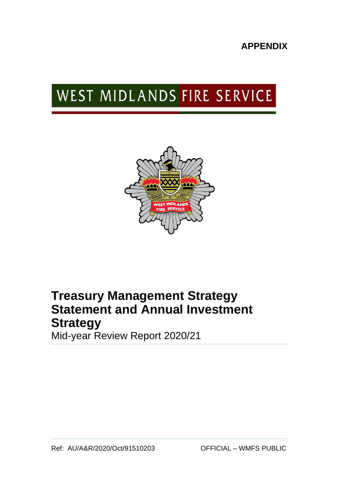**APPENDIX**

# WEST MIDLANDS FIRE SERVICE



## **Treasury Management Strategy Statement and Annual Investment Strategy**

Mid-year Review Report 2020/21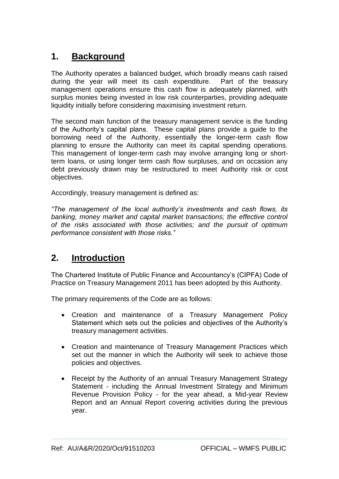### **1. Background**

The Authority operates a balanced budget, which broadly means cash raised during the year will meet its cash expenditure. Part of the treasury management operations ensure this cash flow is adequately planned, with surplus monies being invested in low risk counterparties, providing adequate liquidity initially before considering maximising investment return.

The second main function of the treasury management service is the funding of the Authority's capital plans. These capital plans provide a guide to the borrowing need of the Authority, essentially the longer-term cash flow planning to ensure the Authority can meet its capital spending operations. This management of longer-term cash may involve arranging long or shortterm loans, or using longer term cash flow surpluses, and on occasion any debt previously drawn may be restructured to meet Authority risk or cost objectives.

Accordingly, treasury management is defined as:

*"The management of the local authority's investments and cash flows, its banking, money market and capital market transactions; the effective control of the risks associated with those activities; and the pursuit of optimum performance consistent with those risks."*

### **2. Introduction**

The Chartered Institute of Public Finance and Accountancy's (CIPFA) Code of Practice on Treasury Management 2011 has been adopted by this Authority.

The primary requirements of the Code are as follows:

- Creation and maintenance of a Treasury Management Policy Statement which sets out the policies and objectives of the Authority's treasury management activities.
- Creation and maintenance of Treasury Management Practices which set out the manner in which the Authority will seek to achieve those policies and objectives.
- Receipt by the Authority of an annual Treasury Management Strategy Statement - including the Annual Investment Strategy and Minimum Revenue Provision Policy - for the year ahead, a Mid-year Review Report and an Annual Report covering activities during the previous year.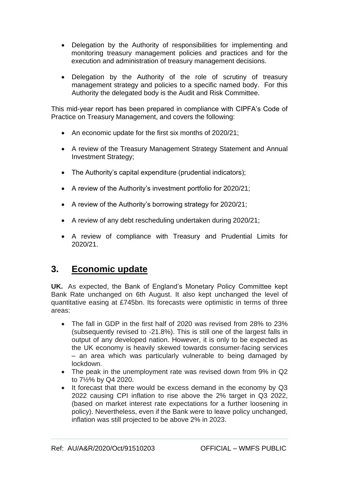- Delegation by the Authority of responsibilities for implementing and monitoring treasury management policies and practices and for the execution and administration of treasury management decisions.
- Delegation by the Authority of the role of scrutiny of treasury management strategy and policies to a specific named body. For this Authority the delegated body is the Audit and Risk Committee.

This mid-year report has been prepared in compliance with CIPFA's Code of Practice on Treasury Management, and covers the following:

- An economic update for the first six months of 2020/21;
- A review of the Treasury Management Strategy Statement and Annual Investment Strategy;
- The Authority's capital expenditure (prudential indicators);
- A review of the Authority's investment portfolio for 2020/21;
- A review of the Authority's borrowing strategy for 2020/21;
- A review of any debt rescheduling undertaken during 2020/21;
- A review of compliance with Treasury and Prudential Limits for 2020/21.

### **3. Economic update**

**UK.** As expected, the Bank of England's Monetary Policy Committee kept Bank Rate unchanged on 6th August. It also kept unchanged the level of quantitative easing at £745bn. Its forecasts were optimistic in terms of three areas:

- The fall in GDP in the first half of 2020 was revised from 28% to 23% (subsequently revised to -21.8%). This is still one of the largest falls in output of any developed nation. However, it is only to be expected as the UK economy is heavily skewed towards consumer-facing services – an area which was particularly vulnerable to being damaged by lockdown.
- The peak in the unemployment rate was revised down from 9% in Q2 to 7½% by Q4 2020.
- It forecast that there would be excess demand in the economy by Q3 2022 causing CPI inflation to rise above the 2% target in Q3 2022, (based on market interest rate expectations for a further loosening in policy). Nevertheless, even if the Bank were to leave policy unchanged, inflation was still projected to be above 2% in 2023.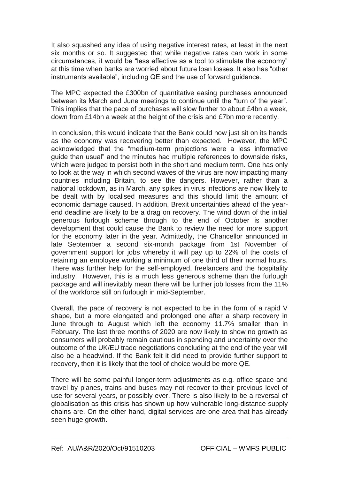It also squashed any idea of using negative interest rates, at least in the next six months or so. It suggested that while negative rates can work in some circumstances, it would be "less effective as a tool to stimulate the economy" at this time when banks are worried about future loan losses. It also has "other instruments available", including QE and the use of forward guidance.

The MPC expected the £300bn of quantitative easing purchases announced between its March and June meetings to continue until the "turn of the year". This implies that the pace of purchases will slow further to about £4bn a week, down from £14bn a week at the height of the crisis and £7bn more recently.

In conclusion, this would indicate that the Bank could now just sit on its hands as the economy was recovering better than expected. However, the MPC acknowledged that the "medium-term projections were a less informative guide than usual" and the minutes had multiple references to downside risks, which were judged to persist both in the short and medium term. One has only to look at the way in which second waves of the virus are now impacting many countries including Britain, to see the dangers. However, rather than a national lockdown, as in March, any spikes in virus infections are now likely to be dealt with by localised measures and this should limit the amount of economic damage caused. In addition, Brexit uncertainties ahead of the yearend deadline are likely to be a drag on recovery. The wind down of the initial generous furlough scheme through to the end of October is another development that could cause the Bank to review the need for more support for the economy later in the year. Admittedly, the Chancellor announced in late September a second six-month package from 1st November of government support for jobs whereby it will pay up to 22% of the costs of retaining an employee working a minimum of one third of their normal hours. There was further help for the self-employed, freelancers and the hospitality industry. However, this is a much less generous scheme than the furlough package and will inevitably mean there will be further job losses from the 11% of the workforce still on furlough in mid-September.

Overall, the pace of recovery is not expected to be in the form of a rapid V shape, but a more elongated and prolonged one after a sharp recovery in June through to August which left the economy 11.7% smaller than in February. The last three months of 2020 are now likely to show no growth as consumers will probably remain cautious in spending and uncertainty over the outcome of the UK/EU trade negotiations concluding at the end of the year will also be a headwind. If the Bank felt it did need to provide further support to recovery, then it is likely that the tool of choice would be more QE.

There will be some painful longer-term adjustments as e.g. office space and travel by planes, trains and buses may not recover to their previous level of use for several years, or possibly ever. There is also likely to be a reversal of globalisation as this crisis has shown up how vulnerable long-distance supply chains are. On the other hand, digital services are one area that has already seen huge growth.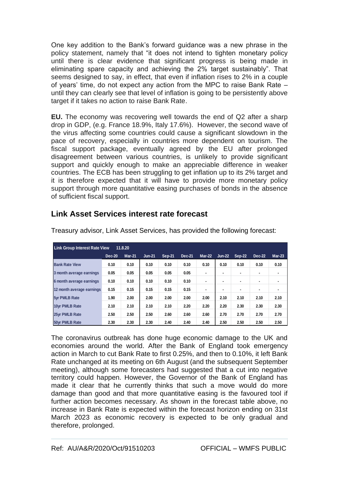One key addition to the Bank's forward guidance was a new phrase in the policy statement, namely that "it does not intend to tighten monetary policy until there is clear evidence that significant progress is being made in eliminating spare capacity and achieving the 2% target sustainably". That seems designed to say, in effect, that even if inflation rises to 2% in a couple of years' time, do not expect any action from the MPC to raise Bank Rate – until they can clearly see that level of inflation is going to be persistently above target if it takes no action to raise Bank Rate.

**EU.** The economy was recovering well towards the end of Q2 after a sharp drop in GDP, (e.g. France 18.9%, Italy 17.6%). However, the second wave of the virus affecting some countries could cause a significant slowdown in the pace of recovery, especially in countries more dependent on tourism. The fiscal support package, eventually agreed by the EU after prolonged disagreement between various countries, is unlikely to provide significant support and quickly enough to make an appreciable difference in weaker countries. The ECB has been struggling to get inflation up to its 2% target and it is therefore expected that it will have to provide more monetary policy support through more quantitative easing purchases of bonds in the absence of sufficient fiscal support.

| <b>Link Group Interest Rate View</b><br>11.8.20 |               |          |          |        |        |                |                |        |                |          |
|-------------------------------------------------|---------------|----------|----------|--------|--------|----------------|----------------|--------|----------------|----------|
|                                                 | <b>Dec-20</b> | $Mar-21$ | $Jun-21$ | Sep-21 | Dec-21 | Mar-22         | <b>Jun-22</b>  | Sep-22 | <b>Dec-22</b>  | $Mar-23$ |
| <b>Bank Rate View</b>                           | 0.10          | 0.10     | 0.10     | 0.10   | 0.10   | 0.10           | 0.10           | 0.10   | 0.10           | 0.10     |
| 3 month average earnings                        | 0.05          | 0.05     | 0.05     | 0.05   | 0.05   | $\blacksquare$ | $\blacksquare$ |        | $\blacksquare$ |          |
| 6 month average earnings                        | 0.10          | 0.10     | 0.10     | 0.10   | 0.10   | $\blacksquare$ | ۰              |        | ۰              |          |
| 12 month average earnings                       | 0.15          | 0.15     | 0.15     | 0.15   | 0.15   | $\blacksquare$ | ۰              |        |                |          |
| <b>5yr PWLB Rate</b>                            | 1.90          | 2.00     | 2.00     | 2.00   | 2.00   | 2.00           | 2.10           | 2.10   | 2.10           | 2.10     |
| 10vr PWLB Rate                                  | 2.10          | 2.10     | 2.10     | 2.10   | 2.20   | 2.20           | 2.20           | 2.30   | 2.30           | 2.30     |
| 25yr PWLB Rate                                  | 2.50          | 2.50     | 2.50     | 2.60   | 2.60   | 2.60           | 2.70           | 2.70   | 2.70           | 2.70     |
| 50vr PWLB Rate                                  | 2.30          | 2.30     | 2.30     | 2.40   | 2.40   | 2.40           | 2.50           | 2.50   | 2.50           | 2.50     |

**Link Asset Services interest rate forecast** 

Treasury advisor, Link Asset Services, has provided the following forecast:

The coronavirus outbreak has done huge economic damage to the UK and economies around the world. After the Bank of England took emergency action in March to cut Bank Rate to first 0.25%, and then to 0.10%, it left Bank Rate unchanged at its meeting on 6th August (and the subsequent September meeting), although some forecasters had suggested that a cut into negative territory could happen. However, the Governor of the Bank of England has made it clear that he currently thinks that such a move would do more damage than good and that more quantitative easing is the favoured tool if further action becomes necessary. As shown in the forecast table above, no increase in Bank Rate is expected within the forecast horizon ending on 31st March 2023 as economic recovery is expected to be only gradual and therefore, prolonged.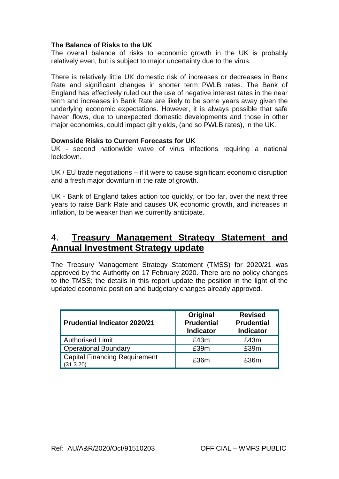#### **The Balance of Risks to the UK**

The overall balance of risks to economic growth in the UK is probably relatively even, but is subject to major uncertainty due to the virus.

There is relatively little UK domestic risk of increases or decreases in Bank Rate and significant changes in shorter term PWLB rates. The Bank of England has effectively ruled out the use of negative interest rates in the near term and increases in Bank Rate are likely to be some years away given the underlying economic expectations. However, it is always possible that safe haven flows, due to unexpected domestic developments and those in other major economies, could impact gilt yields, (and so PWLB rates), in the UK.

#### **Downside Risks to Current Forecasts for UK**

UK - second nationwide wave of virus infections requiring a national lockdown.

UK / EU trade negotiations – if it were to cause significant economic disruption and a fresh major downturn in the rate of growth.

UK - Bank of England takes action too quickly, or too far, over the next three years to raise Bank Rate and causes UK economic growth, and increases in inflation, to be weaker than we currently anticipate.

### 4. **Treasury Management Strategy Statement and Annual Investment Strategy update**

The Treasury Management Strategy Statement (TMSS) for 2020/21 was approved by the Authority on 17 February 2020. There are no policy changes to the TMSS; the details in this report update the position in the light of the updated economic position and budgetary changes already approved.

| <b>Prudential Indicator 2020/21</b>               | Original<br><b>Prudential</b><br><b>Indicator</b> | <b>Revised</b><br><b>Prudential</b><br><b>Indicator</b> |  |
|---------------------------------------------------|---------------------------------------------------|---------------------------------------------------------|--|
| <b>Authorised Limit</b>                           | £43m                                              | £43m                                                    |  |
| <b>Operational Boundary</b>                       | £39m                                              | £39m                                                    |  |
| <b>Capital Financing Requirement</b><br>(31.3.20) | £36m                                              | £36m                                                    |  |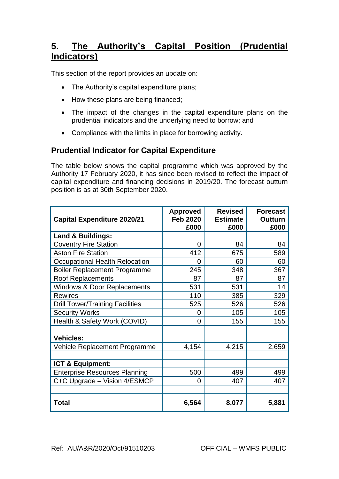### **5. The Authority's Capital Position (Prudential Indicators)**

This section of the report provides an update on:

- The Authority's capital expenditure plans;
- How these plans are being financed;
- The impact of the changes in the capital expenditure plans on the prudential indicators and the underlying need to borrow; and
- Compliance with the limits in place for borrowing activity.

#### **Prudential Indicator for Capital Expenditure**

The table below shows the capital programme which was approved by the Authority 17 February 2020, it has since been revised to reflect the impact of capital expenditure and financing decisions in 2019/20. The forecast outturn position is as at 30th September 2020.

| <b>Capital Expenditure 2020/21</b>     | <b>Approved</b><br><b>Feb 2020</b><br>£000 | <b>Revised</b><br><b>Estimate</b><br>£000 | <b>Forecast</b><br><b>Outturn</b><br>£000 |
|----------------------------------------|--------------------------------------------|-------------------------------------------|-------------------------------------------|
| <b>Land &amp; Buildings:</b>           |                                            |                                           |                                           |
| <b>Coventry Fire Station</b>           | 0                                          | 84                                        | 84                                        |
| <b>Aston Fire Station</b>              | 412                                        | 675                                       | 589                                       |
| <b>Occupational Health Relocation</b>  | 0                                          | 60                                        | 60                                        |
| <b>Boiler Replacement Programme</b>    | 245                                        | 348                                       | 367                                       |
| <b>Roof Replacements</b>               | 87                                         | 87                                        | 87                                        |
| Windows & Door Replacements            | 531                                        | 531                                       | 14                                        |
| <b>Rewires</b>                         | 110                                        | 385                                       | 329                                       |
| <b>Drill Tower/Training Facilities</b> | 525                                        | 526                                       | 526                                       |
| <b>Security Works</b>                  | 0                                          | 105                                       | 105                                       |
| Health & Safety Work (COVID)           | 0                                          | 155                                       | 155                                       |
|                                        |                                            |                                           |                                           |
| <b>Vehicles:</b>                       |                                            |                                           |                                           |
| Vehicle Replacement Programme          | 4,154                                      | 4,215                                     | 2,659                                     |
|                                        |                                            |                                           |                                           |
| ICT & Equipment:                       |                                            |                                           |                                           |
| <b>Enterprise Resources Planning</b>   | 500                                        | 499                                       | 499                                       |
| C+C Upgrade - Vision 4/ESMCP           | 0                                          | 407                                       | 407                                       |
|                                        |                                            |                                           |                                           |
| <b>Total</b>                           | 6,564                                      | 8,077                                     | 5,881                                     |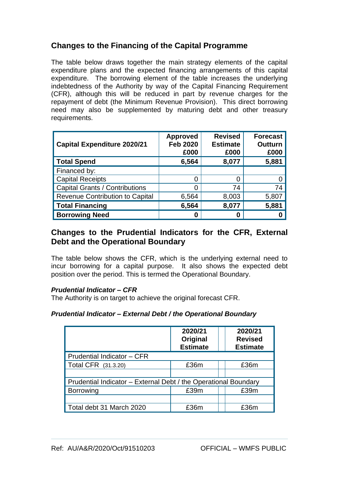### **Changes to the Financing of the Capital Programme**

The table below draws together the main strategy elements of the capital expenditure plans and the expected financing arrangements of this capital expenditure. The borrowing element of the table increases the underlying indebtedness of the Authority by way of the Capital Financing Requirement (CFR), although this will be reduced in part by revenue charges for the repayment of debt (the Minimum Revenue Provision). This direct borrowing need may also be supplemented by maturing debt and other treasury requirements.

| <b>Capital Expenditure 2020/21</b>     | <b>Approved</b><br><b>Feb 2020</b><br>£000 | <b>Revised</b><br><b>Estimate</b><br>£000 | <b>Forecast</b><br><b>Outturn</b><br>£000 |
|----------------------------------------|--------------------------------------------|-------------------------------------------|-------------------------------------------|
| <b>Total Spend</b>                     | 6,564                                      | 8,077                                     | 5,881                                     |
| Financed by:                           |                                            |                                           |                                           |
| <b>Capital Receipts</b>                |                                            |                                           |                                           |
| <b>Capital Grants / Contributions</b>  |                                            | 74                                        | 74                                        |
| <b>Revenue Contribution to Capital</b> | 6,564                                      | 8,003                                     | 5,807                                     |
| <b>Total Financing</b>                 | 6,564                                      | 8,077                                     | 5,881                                     |
| <b>Borrowing Need</b>                  | 0                                          |                                           |                                           |

#### **Changes to the Prudential Indicators for the CFR, External Debt and the Operational Boundary**

The table below shows the CFR, which is the underlying external need to incur borrowing for a capital purpose. It also shows the expected debt position over the period. This is termed the Operational Boundary.

#### *Prudential Indicator – CFR*

The Authority is on target to achieve the original forecast CFR.

#### *Prudential Indicator – External Debt / the Operational Boundary*

|                                                                 | 2020/21<br>Original<br><b>Estimate</b> | 2020/21<br><b>Revised</b><br><b>Estimate</b> |  |  |
|-----------------------------------------------------------------|----------------------------------------|----------------------------------------------|--|--|
| Prudential Indicator - CFR                                      |                                        |                                              |  |  |
| Total CFR (31.3.20)                                             | £36m                                   | £36m                                         |  |  |
|                                                                 |                                        |                                              |  |  |
| Prudential Indicator - External Debt / the Operational Boundary |                                        |                                              |  |  |
| <b>Borrowing</b>                                                | £39m                                   | £39m                                         |  |  |
|                                                                 |                                        |                                              |  |  |
| Total debt 31 March 2020                                        | £36m                                   | £36m                                         |  |  |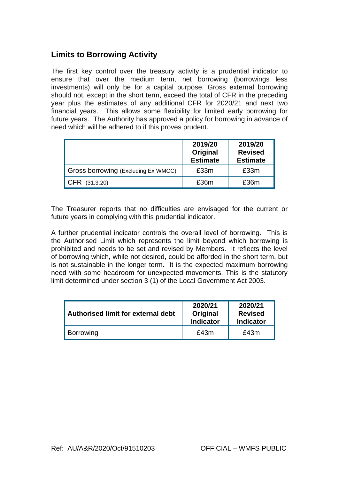### **Limits to Borrowing Activity**

The first key control over the treasury activity is a prudential indicator to ensure that over the medium term, net borrowing (borrowings less investments) will only be for a capital purpose. Gross external borrowing should not, except in the short term, exceed the total of CFR in the preceding year plus the estimates of any additional CFR for 2020/21 and next two financial years. This allows some flexibility for limited early borrowing for future years. The Authority has approved a policy for borrowing in advance of need which will be adhered to if this proves prudent.

|                                     | 2019/20<br>Original<br><b>Estimate</b> | 2019/20<br><b>Revised</b><br><b>Estimate</b> |
|-------------------------------------|----------------------------------------|----------------------------------------------|
| Gross borrowing (Excluding Ex WMCC) | £33m                                   | £33m                                         |
| CFR (31.3.20)                       | £36m                                   | £36m                                         |

The Treasurer reports that no difficulties are envisaged for the current or future years in complying with this prudential indicator.

A further prudential indicator controls the overall level of borrowing. This is the Authorised Limit which represents the limit beyond which borrowing is prohibited and needs to be set and revised by Members. It reflects the level of borrowing which, while not desired, could be afforded in the short term, but is not sustainable in the longer term. It is the expected maximum borrowing need with some headroom for unexpected movements. This is the statutory limit determined under section 3 (1) of the Local Government Act 2003.

| Authorised limit for external debt | 2020/21<br>Original<br><b>Indicator</b> | 2020/21<br><b>Revised</b><br><b>Indicator</b> |  |
|------------------------------------|-----------------------------------------|-----------------------------------------------|--|
| <b>Borrowing</b>                   | £43m                                    | £43m                                          |  |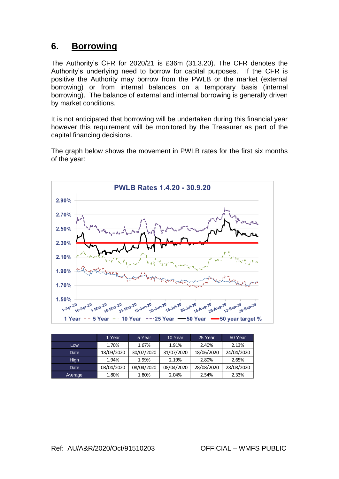### **6. Borrowing**

The Authority's CFR for 2020/21 is £36m (31.3.20). The CFR denotes the Authority's underlying need to borrow for capital purposes. If the CFR is positive the Authority may borrow from the PWLB or the market (external borrowing) or from internal balances on a temporary basis (internal borrowing). The balance of external and internal borrowing is generally driven by market conditions.

It is not anticipated that borrowing will be undertaken during this financial year however this requirement will be monitored by the Treasurer as part of the capital financing decisions.

The graph below shows the movement in PWLB rates for the first six months of the year:



|             | 1 Year     | 5 Year     | 10 Year    | 25 Year    | 50 Year    |
|-------------|------------|------------|------------|------------|------------|
| Low         | 1.70%      | 1.67%      | 1.91%      | 2.40%      | 2.13%      |
| Date        | 18/09/2020 | 30/07/2020 | 31/07/2020 | 18/06/2020 | 24/04/2020 |
| <b>High</b> | 1.94%      | 1.99%      | 2.19%      | 2.80%      | 2.65%      |
| Date        | 08/04/2020 | 08/04/2020 | 08/04/2020 | 28/08/2020 | 28/08/2020 |
| Average     | 1.80%      | 1.80%      | 2.04%      | 2.54%      | 2.33%      |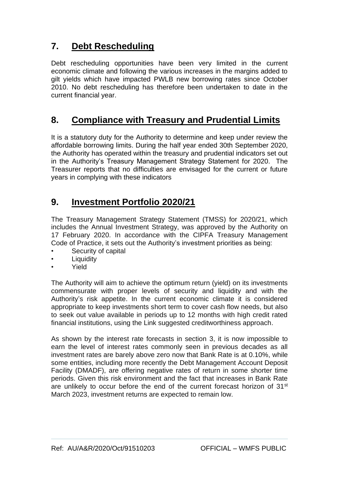### **7. Debt Rescheduling**

Debt rescheduling opportunities have been very limited in the current economic climate and following the various increases in the margins added to gilt yields which have impacted PWLB new borrowing rates since October 2010. No debt rescheduling has therefore been undertaken to date in the current financial year.

### **8. Compliance with Treasury and Prudential Limits**

It is a statutory duty for the Authority to determine and keep under review the affordable borrowing limits. During the half year ended 30th September 2020, the Authority has operated within the treasury and prudential indicators set out in the Authority's Treasury Management Strategy Statement for 2020. The Treasurer reports that no difficulties are envisaged for the current or future years in complying with these indicators

### **9. Investment Portfolio 2020/21**

The Treasury Management Strategy Statement (TMSS) for 2020/21, which includes the Annual Investment Strategy, was approved by the Authority on 17 February 2020. In accordance with the CIPFA Treasury Management Code of Practice, it sets out the Authority's investment priorities as being:

- Security of capital
- **Liquidity**
- Yield

The Authority will aim to achieve the optimum return (yield) on its investments commensurate with proper levels of security and liquidity and with the Authority's risk appetite. In the current economic climate it is considered appropriate to keep investments short term to cover cash flow needs, but also to seek out value available in periods up to 12 months with high credit rated financial institutions, using the Link suggested creditworthiness approach.

As shown by the interest rate forecasts in section 3, it is now impossible to earn the level of interest rates commonly seen in previous decades as all investment rates are barely above zero now that Bank Rate is at 0.10%, while some entities, including more recently the Debt Management Account Deposit Facility (DMADF), are offering negative rates of return in some shorter time periods. Given this risk environment and the fact that increases in Bank Rate are unlikely to occur before the end of the current forecast horizon of  $31<sup>st</sup>$ March 2023, investment returns are expected to remain low.